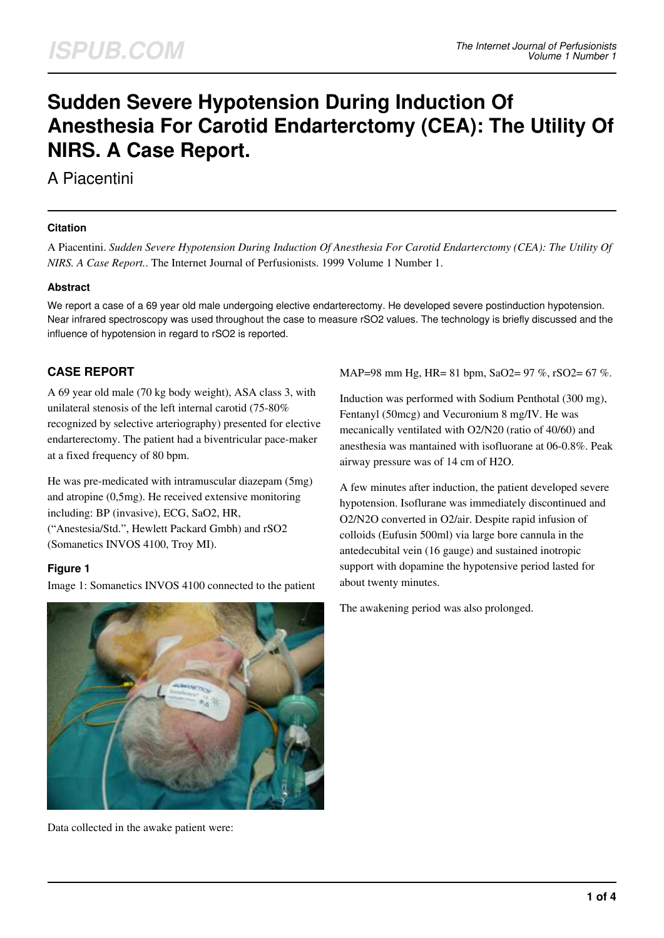# **Sudden Severe Hypotension During Induction Of Anesthesia For Carotid Endarterctomy (CEA): The Utility Of NIRS. A Case Report.**

A Piacentini

#### **Citation**

A Piacentini. *Sudden Severe Hypotension During Induction Of Anesthesia For Carotid Endarterctomy (CEA): The Utility Of NIRS. A Case Report.*. The Internet Journal of Perfusionists. 1999 Volume 1 Number 1.

## **Abstract**

We report a case of a 69 year old male undergoing elective endarterectomy. He developed severe postinduction hypotension. Near infrared spectroscopy was used throughout the case to measure rSO2 values. The technology is briefly discussed and the influence of hypotension in regard to rSO2 is reported.

# **CASE REPORT**

A 69 year old male (70 kg body weight), ASA class 3, with unilateral stenosis of the left internal carotid (75-80% recognized by selective arteriography) presented for elective endarterectomy. The patient had a biventricular pace-maker at a fixed frequency of 80 bpm.

He was pre-medicated with intramuscular diazepam (5mg) and atropine (0,5mg). He received extensive monitoring including: BP (invasive), ECG, SaO2, HR, ("Anestesia/Std.", Hewlett Packard Gmbh) and rSO2 (Somanetics INVOS 4100, Troy MI).

## **Figure 1**

Image 1: Somanetics INVOS 4100 connected to the patient



Data collected in the awake patient were:

MAP=98 mm Hg, HR= 81 bpm, SaO2= 97 %, rSO2= 67 %.

Induction was performed with Sodium Penthotal (300 mg), Fentanyl (50mcg) and Vecuronium 8 mg/IV. He was mecanically ventilated with O2/N20 (ratio of 40/60) and anesthesia was mantained with isofluorane at 06-0.8%. Peak airway pressure was of 14 cm of H2O.

A few minutes after induction, the patient developed severe hypotension. Isoflurane was immediately discontinued and O2/N2O converted in O2/air. Despite rapid infusion of colloids (Eufusin 500ml) via large bore cannula in the antedecubital vein (16 gauge) and sustained inotropic support with dopamine the hypotensive period lasted for about twenty minutes.

The awakening period was also prolonged.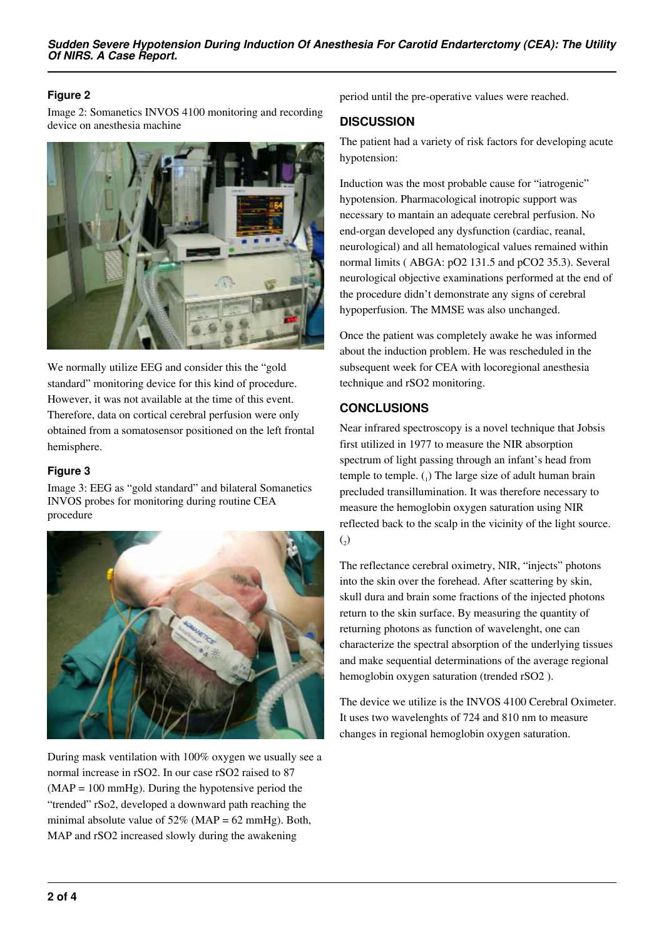## **Figure 2**

Image 2: Somanetics INVOS 4100 monitoring and recording device on anesthesia machine



We normally utilize EEG and consider this the "gold standard" monitoring device for this kind of procedure. However, it was not available at the time of this event. Therefore, data on cortical cerebral perfusion were only obtained from a somatosensor positioned on the left frontal hemisphere.

#### **Figure 3**

Image 3: EEG as "gold standard" and bilateral Somanetics INVOS probes for monitoring during routine CEA procedure



During mask ventilation with 100% oxygen we usually see a normal increase in rSO2. In our case rSO2 raised to 87  $(MAP = 100 \text{ mmHg})$ . During the hypotensive period the "trended" rSo2, developed a downward path reaching the minimal absolute value of  $52\%$  (MAP = 62 mmHg). Both, MAP and rSO2 increased slowly during the awakening

period until the pre-operative values were reached.

## **DISCUSSION**

The patient had a variety of risk factors for developing acute hypotension:

Induction was the most probable cause for "iatrogenic" hypotension. Pharmacological inotropic support was necessary to mantain an adequate cerebral perfusion. No end-organ developed any dysfunction (cardiac, reanal, neurological) and all hematological values remained within normal limits ( ABGA: pO2 131.5 and pCO2 35.3). Several neurological objective examinations performed at the end of the procedure didn't demonstrate any signs of cerebral hypoperfusion. The MMSE was also unchanged.

Once the patient was completely awake he was informed about the induction problem. He was rescheduled in the subsequent week for CEA with locoregional anesthesia technique and rSO2 monitoring.

# **CONCLUSIONS**

Near infrared spectroscopy is a novel technique that Jobsis first utilized in 1977 to measure the NIR absorption spectrum of light passing through an infant's head from temple to temple.  $\binom{1}{1}$  The large size of adult human brain precluded transillumination. It was therefore necessary to measure the hemoglobin oxygen saturation using NIR reflected back to the scalp in the vicinity of the light source.  $\binom{1}{2}$ 

The reflectance cerebral oximetry, NIR, "injects" photons into the skin over the forehead. After scattering by skin, skull dura and brain some fractions of the injected photons return to the skin surface. By measuring the quantity of returning photons as function of wavelenght, one can characterize the spectral absorption of the underlying tissues and make sequential determinations of the average regional hemoglobin oxygen saturation (trended rSO2 ).

The device we utilize is the INVOS 4100 Cerebral Oximeter. It uses two wavelenghts of 724 and 810 nm to measure changes in regional hemoglobin oxygen saturation.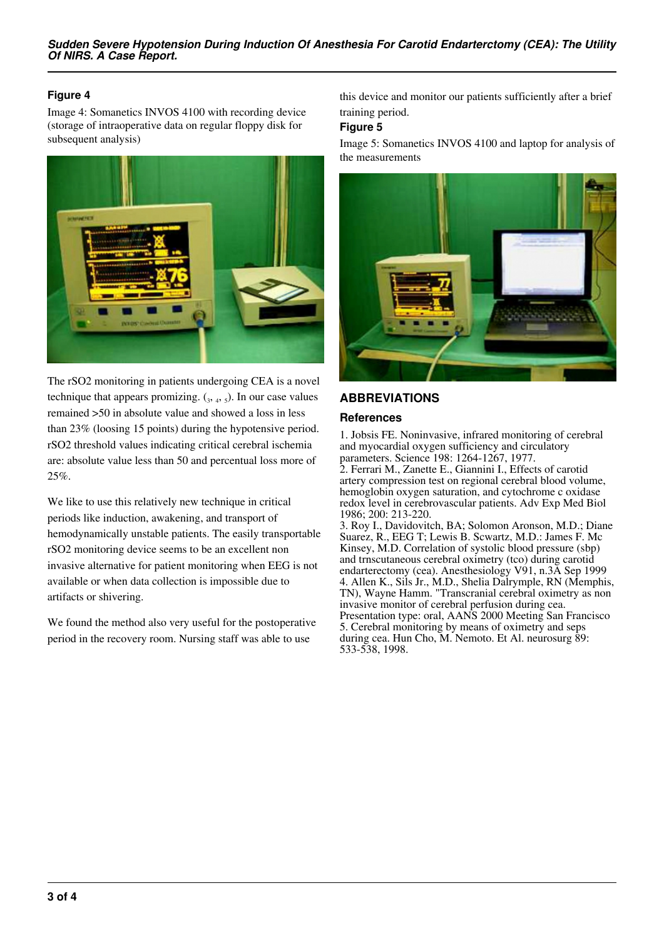## **Figure 4**

Image 4: Somanetics INVOS 4100 with recording device (storage of intraoperative data on regular floppy disk for subsequent analysis)



The rSO2 monitoring in patients undergoing CEA is a novel technique that appears promizing.  $(3, 4, 5)$ . In our case values remained >50 in absolute value and showed a loss in less than 23% (loosing 15 points) during the hypotensive period. rSO2 threshold values indicating critical cerebral ischemia are: absolute value less than 50 and percentual loss more of 25%.

We like to use this relatively new technique in critical periods like induction, awakening, and transport of hemodynamically unstable patients. The easily transportable rSO2 monitoring device seems to be an excellent non invasive alternative for patient monitoring when EEG is not available or when data collection is impossible due to artifacts or shivering.

We found the method also very useful for the postoperative period in the recovery room. Nursing staff was able to use

this device and monitor our patients sufficiently after a brief training period.

#### **Figure 5**

Image 5: Somanetics INVOS 4100 and laptop for analysis of the measurements



## **ABBREVIATIONS**

#### **References**

1. Jobsis FE. Noninvasive, infrared monitoring of cerebral and myocardial oxygen sufficiency and circulatory parameters. Science 198: 1264-1267, 1977.

2. Ferrari M., Zanette E., Giannini I., Effects of carotid artery compression test on regional cerebral blood volume, hemoglobin oxygen saturation, and cytochrome c oxidase redox level in cerebrovascular patients. Adv Exp Med Biol 1986; 200: 213-220.

3. Roy I., Davidovitch, BA; Solomon Aronson, M.D.; Diane Suarez, R., EEG T; Lewis B. Scwartz, M.D.: James F. Mc Kinsey, M.D. Correlation of systolic blood pressure (sbp) and trnscutaneous cerebral oximetry (tco) during carotid endarterectomy (cea). Anesthesiology V91, n.3A Sep 1999 4. Allen K., Sils Jr., M.D., Shelia Dalrymple, RN (Memphis, TN), Wayne Hamm. "Transcranial cerebral oximetry as non invasive monitor of cerebral perfusion during cea. Presentation type: oral, AANS 2000 Meeting San Francisco 5. Cerebral monitoring by means of oximetry and seps during cea. Hun Cho, M. Nemoto. Et Al. neurosurg 89: 533-538, 1998.